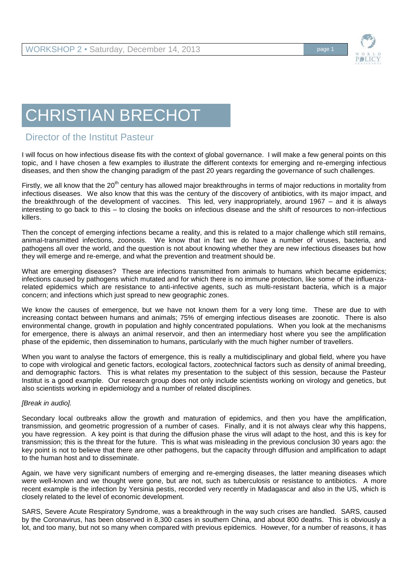

## CHRISTIAN BRECHOT

## Director of the Institut Pasteur

I will focus on how infectious disease fits with the context of global governance. I will make a few general points on this topic, and I have chosen a few examples to illustrate the different contexts for emerging and re-emerging infectious diseases, and then show the changing paradigm of the past 20 years regarding the governance of such challenges.

Firstly, we all know that the 20<sup>th</sup> century has allowed major breakthroughs in terms of major reductions in mortality from infectious diseases. We also know that this was the century of the discovery of antibiotics, with its major impact, and the breakthrough of the development of vaccines. This led, very inappropriately, around 1967 – and it is always interesting to go back to this – to closing the books on infectious disease and the shift of resources to non-infectious killers.

Then the concept of emerging infections became a reality, and this is related to a major challenge which still remains, animal-transmitted infections, zoonosis. We know that in fact we do have a number of viruses, bacteria, and pathogens all over the world, and the question is not about knowing whether they are new infectious diseases but how they will emerge and re-emerge, and what the prevention and treatment should be.

What are emerging diseases? These are infections transmitted from animals to humans which became epidemics; infections caused by pathogens which mutated and for which there is no immune protection, like some of the influenzarelated epidemics which are resistance to anti-infective agents, such as multi-resistant bacteria, which is a major concern; and infections which just spread to new geographic zones.

We know the causes of emergence, but we have not known them for a very long time. These are due to with increasing contact between humans and animals; 75% of emerging infectious diseases are zoonotic. There is also environmental change, growth in population and highly concentrated populations. When you look at the mechanisms for emergence, there is always an animal reservoir, and then an intermediary host where you see the amplification phase of the epidemic, then dissemination to humans, particularly with the much higher number of travellers.

When you want to analyse the factors of emergence, this is really a multidisciplinary and global field, where you have to cope with virological and genetic factors, ecological factors, zootechnical factors such as density of animal breeding, and demographic factors. This is what relates my presentation to the subject of this session, because the Pasteur Institut is a good example. Our research group does not only include scientists working on virology and genetics, but also scientists working in epidemiology and a number of related disciplines.

## *[Break in audio].*

Secondary local outbreaks allow the growth and maturation of epidemics, and then you have the amplification, transmission, and geometric progression of a number of cases. Finally, and it is not always clear why this happens, you have regression. A key point is that during the diffusion phase the virus will adapt to the host, and this is key for transmission; this is the threat for the future. This is what was misleading in the previous conclusion 30 years ago: the key point is not to believe that there are other pathogens, but the capacity through diffusion and amplification to adapt to the human host and to disseminate.

Again, we have very significant numbers of emerging and re-emerging diseases, the latter meaning diseases which were well-known and we thought were gone, but are not, such as tuberculosis or resistance to antibiotics. A more recent example is the infection by Yersinia pestis, recorded very recently in Madagascar and also in the US, which is closely related to the level of economic development.

SARS, Severe Acute Respiratory Syndrome, was a breakthrough in the way such crises are handled. SARS, caused by the Coronavirus, has been observed in 8,300 cases in southern China, and about 800 deaths. This is obviously a lot, and too many, but not so many when compared with previous epidemics. However, for a number of reasons, it has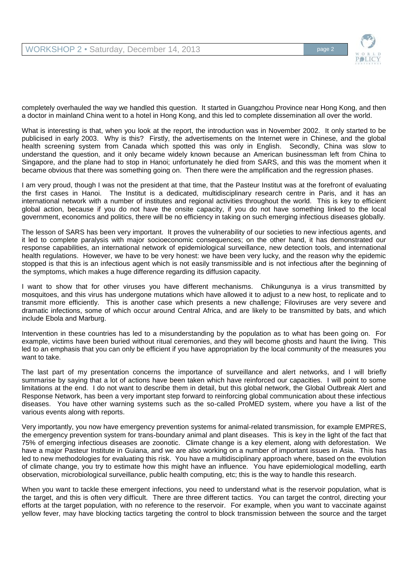

completely overhauled the way we handled this question. It started in Guangzhou Province near Hong Kong, and then a doctor in mainland China went to a hotel in Hong Kong, and this led to complete dissemination all over the world.

What is interesting is that, when you look at the report, the introduction was in November 2002. It only started to be publicised in early 2003. Why is this? Firstly, the advertisements on the Internet were in Chinese, and the global health screening system from Canada which spotted this was only in English. Secondly, China was slow to understand the question, and it only became widely known because an American businessman left from China to Singapore, and the plane had to stop in Hanoi; unfortunately he died from SARS, and this was the moment when it became obvious that there was something going on. Then there were the amplification and the regression phases.

I am very proud, though I was not the president at that time, that the Pasteur Institut was at the forefront of evaluating the first cases in Hanoi. The Institut is a dedicated, multidisciplinary research centre in Paris, and it has an international network with a number of institutes and regional activities throughout the world. This is key to efficient global action, because if you do not have the onsite capacity, if you do not have something linked to the local government, economics and politics, there will be no efficiency in taking on such emerging infectious diseases globally.

The lesson of SARS has been very important. It proves the vulnerability of our societies to new infectious agents, and it led to complete paralysis with major socioeconomic consequences; on the other hand, it has demonstrated our response capabilities, an international network of epidemiological surveillance, new detection tools, and international health regulations. However, we have to be very honest: we have been very lucky, and the reason why the epidemic stopped is that this is an infectious agent which is not easily transmissible and is not infectious after the beginning of the symptoms, which makes a huge difference regarding its diffusion capacity.

I want to show that for other viruses you have different mechanisms. Chikungunya is a virus transmitted by mosquitoes, and this virus has undergone mutations which have allowed it to adjust to a new host, to replicate and to transmit more efficiently. This is another case which presents a new challenge; Filoviruses are very severe and dramatic infections, some of which occur around Central Africa, and are likely to be transmitted by bats, and which include Ebola and Marburg.

Intervention in these countries has led to a misunderstanding by the population as to what has been going on. For example, victims have been buried without ritual ceremonies, and they will become ghosts and haunt the living. This led to an emphasis that you can only be efficient if you have appropriation by the local community of the measures you want to take.

The last part of my presentation concerns the importance of surveillance and alert networks, and I will briefly summarise by saying that a lot of actions have been taken which have reinforced our capacities. I will point to some limitations at the end. I do not want to describe them in detail, but this global network, the Global Outbreak Alert and Response Network, has been a very important step forward to reinforcing global communication about these infectious diseases. You have other warning systems such as the so-called ProMED system, where you have a list of the various events along with reports.

Very importantly, you now have emergency prevention systems for animal-related transmission, for example EMPRES, the emergency prevention system for trans-boundary animal and plant diseases. This is key in the light of the fact that 75% of emerging infectious diseases are zoonotic. Climate change is a key element, along with deforestation. We have a major Pasteur Institute in Guiana, and we are also working on a number of important issues in Asia. This has led to new methodologies for evaluating this risk. You have a multidisciplinary approach where, based on the evolution of climate change, you try to estimate how this might have an influence. You have epidemiological modelling, earth observation, microbiological surveillance, public health computing, etc; this is the way to handle this research.

When you want to tackle these emergent infections, you need to understand what is the reservoir population, what is the target, and this is often very difficult. There are three different tactics. You can target the control, directing your efforts at the target population, with no reference to the reservoir. For example, when you want to vaccinate against yellow fever, may have blocking tactics targeting the control to block transmission between the source and the target